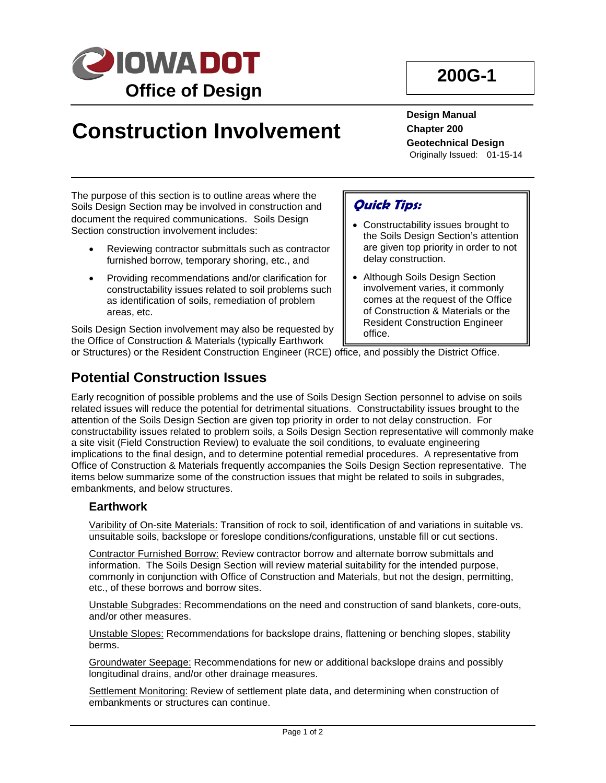

# **Construction Involvement**

**Design Manual Chapter 200 Geotechnical Design** Originally Issued: 01-15-14

The purpose of this section is to outline areas where the Soils Design Section may be involved in construction and document the required communications. Soils Design Section construction involvement includes:

- Reviewing contractor submittals such as contractor furnished borrow, temporary shoring, etc., and
- Providing recommendations and/or clarification for constructability issues related to soil problems such as identification of soils, remediation of problem areas, etc.

Soils Design Section involvement may also be requested by the Office of Construction & Materials (typically Earthwork

# **Potential Construction Issues**

# **Quick Tips:**

- Constructability issues brought to the Soils Design Section's attention are given top priority in order to not delay construction.
- Although Soils Design Section involvement varies, it commonly comes at the request of the Office of Construction & Materials or the Resident Construction Engineer office.

or Structures) or the Resident Construction Engineer (RCE) office, and possibly the District Office.

#### Early recognition of possible problems and the use of Soils Design Section personnel to advise on soils related issues will reduce the potential for detrimental situations. Constructability issues brought to the attention of the Soils Design Section are given top priority in order to not delay construction. For constructability issues related to problem soils, a Soils Design Section representative will commonly make a site visit (Field Construction Review) to evaluate the soil conditions, to evaluate engineering implications to the final design, and to determine potential remedial procedures. A representative from Office of Construction & Materials frequently accompanies the Soils Design Section representative. The items below summarize some of the construction issues that might be related to soils in subgrades, embankments, and below structures.

### **Earthwork**

Varibility of On-site Materials: Transition of rock to soil, identification of and variations in suitable vs. unsuitable soils, backslope or foreslope conditions/configurations, unstable fill or cut sections.

Contractor Furnished Borrow: Review contractor borrow and alternate borrow submittals and information. The Soils Design Section will review material suitability for the intended purpose, commonly in conjunction with Office of Construction and Materials, but not the design, permitting, etc., of these borrows and borrow sites.

Unstable Subgrades: Recommendations on the need and construction of sand blankets, core-outs, and/or other measures.

Unstable Slopes: Recommendations for backslope drains, flattening or benching slopes, stability berms.

Groundwater Seepage: Recommendations for new or additional backslope drains and possibly longitudinal drains, and/or other drainage measures.

Settlement Monitoring: Review of settlement plate data, and determining when construction of embankments or structures can continue.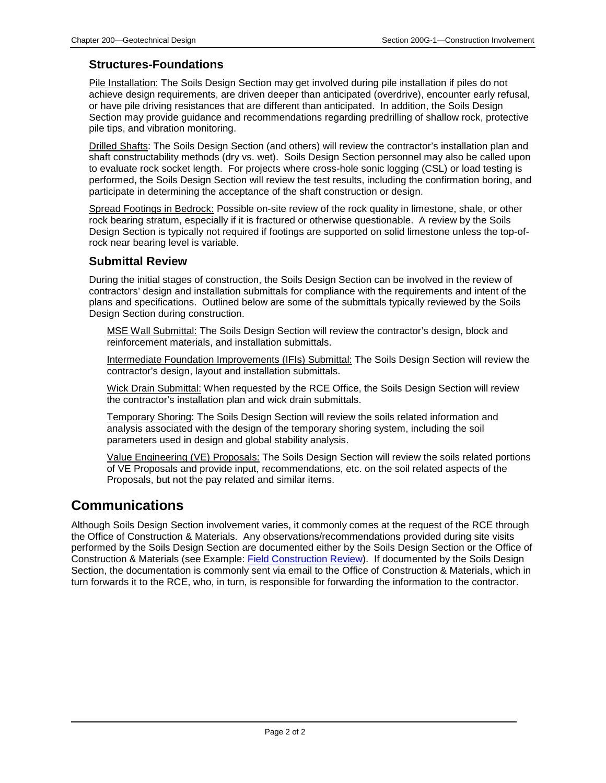### **Structures-Foundations**

Pile Installation: The Soils Design Section may get involved during pile installation if piles do not achieve design requirements, are driven deeper than anticipated (overdrive), encounter early refusal, or have pile driving resistances that are different than anticipated. In addition, the Soils Design Section may provide guidance and recommendations regarding predrilling of shallow rock, protective pile tips, and vibration monitoring.

Drilled Shafts: The Soils Design Section (and others) will review the contractor's installation plan and shaft constructability methods (dry vs. wet). Soils Design Section personnel may also be called upon to evaluate rock socket length. For projects where cross-hole sonic logging (CSL) or load testing is performed, the Soils Design Section will review the test results, including the confirmation boring, and participate in determining the acceptance of the shaft construction or design.

Spread Footings in Bedrock: Possible on-site review of the rock quality in limestone, shale, or other rock bearing stratum, especially if it is fractured or otherwise questionable. A review by the Soils Design Section is typically not required if footings are supported on solid limestone unless the top-ofrock near bearing level is variable.

#### **Submittal Review**

During the initial stages of construction, the Soils Design Section can be involved in the review of contractors' design and installation submittals for compliance with the requirements and intent of the plans and specifications. Outlined below are some of the submittals typically reviewed by the Soils Design Section during construction.

MSE Wall Submittal: The Soils Design Section will review the contractor's design, block and reinforcement materials, and installation submittals.

Intermediate Foundation Improvements (IFIs) Submittal: The Soils Design Section will review the contractor's design, layout and installation submittals.

Wick Drain Submittal: When requested by the RCE Office, the Soils Design Section will review the contractor's installation plan and wick drain submittals.

Temporary Shoring: The Soils Design Section will review the soils related information and analysis associated with the design of the temporary shoring system, including the soil parameters used in design and global stability analysis.

Value Engineering (VE) Proposals: The Soils Design Section will review the soils related portions of VE Proposals and provide input, recommendations, etc. on the soil related aspects of the Proposals, but not the pay related and similar items.

## **Communications**

Although Soils Design Section involvement varies, it commonly comes at the request of the RCE through the Office of Construction & Materials. Any observations/recommendations provided during site visits performed by the Soils Design Section are documented either by the Soils Design Section or the Office of Construction & Materials (see Example: Field Construction Review). If documented by the Soils Design Section, the documentation is commonly sent via email to the Office of Construction & Materials, which in turn forwards it to the RCE, who, in turn, is responsible for forwarding the information to the contractor.